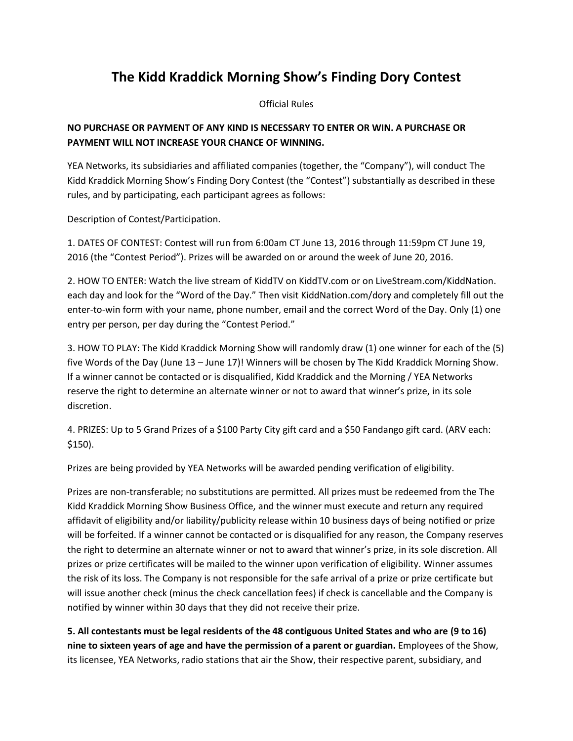## **The Kidd Kraddick Morning Show's Finding Dory Contest**

Official Rules

## **NO PURCHASE OR PAYMENT OF ANY KIND IS NECESSARY TO ENTER OR WIN. A PURCHASE OR PAYMENT WILL NOT INCREASE YOUR CHANCE OF WINNING.**

YEA Networks, its subsidiaries and affiliated companies (together, the "Company"), will conduct The Kidd Kraddick Morning Show's Finding Dory Contest (the "Contest") substantially as described in these rules, and by participating, each participant agrees as follows:

Description of Contest/Participation.

1. DATES OF CONTEST: Contest will run from 6:00am CT June 13, 2016 through 11:59pm CT June 19, 2016 (the "Contest Period"). Prizes will be awarded on or around the week of June 20, 2016.

2. HOW TO ENTER: Watch the live stream of KiddTV on KiddTV.com or on LiveStream.com/KiddNation. each day and look for the "Word of the Day." Then visit KiddNation.com/dory and completely fill out the enter-to-win form with your name, phone number, email and the correct Word of the Day. Only (1) one entry per person, per day during the "Contest Period."

3. HOW TO PLAY: The Kidd Kraddick Morning Show will randomly draw (1) one winner for each of the (5) five Words of the Day (June 13 – June 17)! Winners will be chosen by The Kidd Kraddick Morning Show. If a winner cannot be contacted or is disqualified, Kidd Kraddick and the Morning / YEA Networks reserve the right to determine an alternate winner or not to award that winner's prize, in its sole discretion.

4. PRIZES: Up to 5 Grand Prizes of a \$100 Party City gift card and a \$50 Fandango gift card. (ARV each: \$150).

Prizes are being provided by YEA Networks will be awarded pending verification of eligibility.

Prizes are non-transferable; no substitutions are permitted. All prizes must be redeemed from the The Kidd Kraddick Morning Show Business Office, and the winner must execute and return any required affidavit of eligibility and/or liability/publicity release within 10 business days of being notified or prize will be forfeited. If a winner cannot be contacted or is disqualified for any reason, the Company reserves the right to determine an alternate winner or not to award that winner's prize, in its sole discretion. All prizes or prize certificates will be mailed to the winner upon verification of eligibility. Winner assumes the risk of its loss. The Company is not responsible for the safe arrival of a prize or prize certificate but will issue another check (minus the check cancellation fees) if check is cancellable and the Company is notified by winner within 30 days that they did not receive their prize.

**5. All contestants must be legal residents of the 48 contiguous United States and who are (9 to 16) nine to sixteen years of age and have the permission of a parent or guardian.** Employees of the Show, its licensee, YEA Networks, radio stations that air the Show, their respective parent, subsidiary, and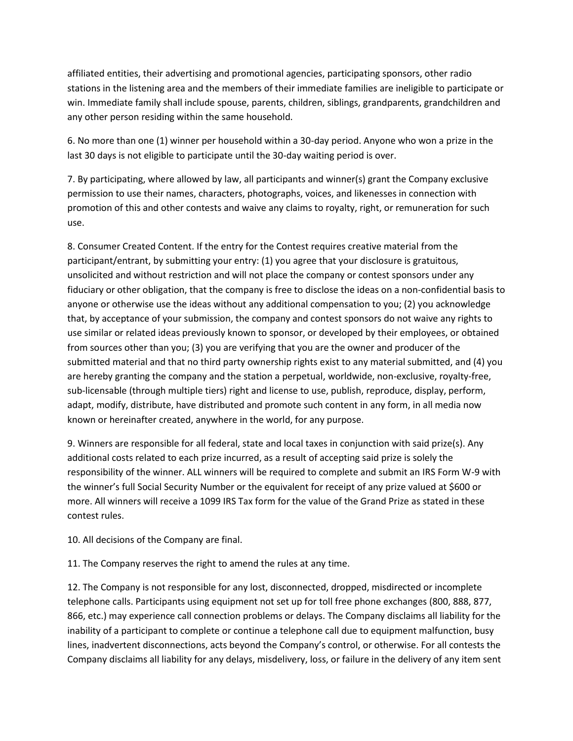affiliated entities, their advertising and promotional agencies, participating sponsors, other radio stations in the listening area and the members of their immediate families are ineligible to participate or win. Immediate family shall include spouse, parents, children, siblings, grandparents, grandchildren and any other person residing within the same household.

6. No more than one (1) winner per household within a 30-day period. Anyone who won a prize in the last 30 days is not eligible to participate until the 30-day waiting period is over.

7. By participating, where allowed by law, all participants and winner(s) grant the Company exclusive permission to use their names, characters, photographs, voices, and likenesses in connection with promotion of this and other contests and waive any claims to royalty, right, or remuneration for such use.

8. Consumer Created Content. If the entry for the Contest requires creative material from the participant/entrant, by submitting your entry: (1) you agree that your disclosure is gratuitous, unsolicited and without restriction and will not place the company or contest sponsors under any fiduciary or other obligation, that the company is free to disclose the ideas on a non-confidential basis to anyone or otherwise use the ideas without any additional compensation to you; (2) you acknowledge that, by acceptance of your submission, the company and contest sponsors do not waive any rights to use similar or related ideas previously known to sponsor, or developed by their employees, or obtained from sources other than you; (3) you are verifying that you are the owner and producer of the submitted material and that no third party ownership rights exist to any material submitted, and (4) you are hereby granting the company and the station a perpetual, worldwide, non-exclusive, royalty-free, sub-licensable (through multiple tiers) right and license to use, publish, reproduce, display, perform, adapt, modify, distribute, have distributed and promote such content in any form, in all media now known or hereinafter created, anywhere in the world, for any purpose.

9. Winners are responsible for all federal, state and local taxes in conjunction with said prize(s). Any additional costs related to each prize incurred, as a result of accepting said prize is solely the responsibility of the winner. ALL winners will be required to complete and submit an IRS Form W-9 with the winner's full Social Security Number or the equivalent for receipt of any prize valued at \$600 or more. All winners will receive a 1099 IRS Tax form for the value of the Grand Prize as stated in these contest rules.

10. All decisions of the Company are final.

11. The Company reserves the right to amend the rules at any time.

12. The Company is not responsible for any lost, disconnected, dropped, misdirected or incomplete telephone calls. Participants using equipment not set up for toll free phone exchanges (800, 888, 877, 866, etc.) may experience call connection problems or delays. The Company disclaims all liability for the inability of a participant to complete or continue a telephone call due to equipment malfunction, busy lines, inadvertent disconnections, acts beyond the Company's control, or otherwise. For all contests the Company disclaims all liability for any delays, misdelivery, loss, or failure in the delivery of any item sent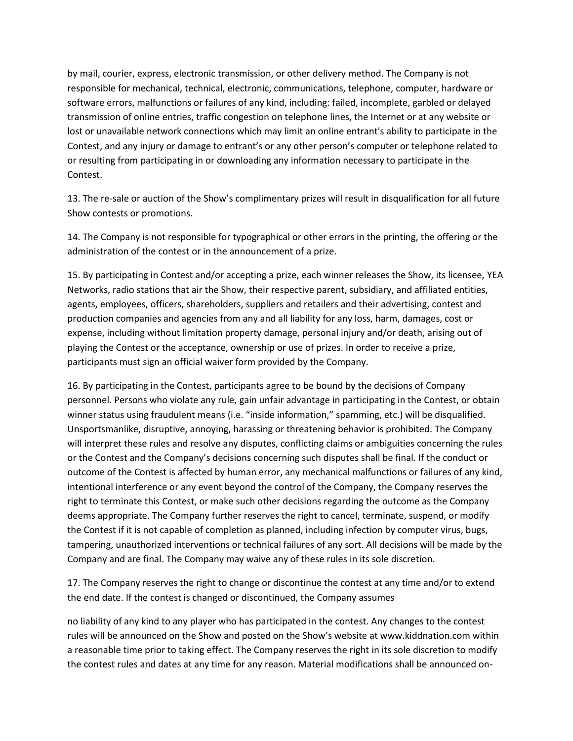by mail, courier, express, electronic transmission, or other delivery method. The Company is not responsible for mechanical, technical, electronic, communications, telephone, computer, hardware or software errors, malfunctions or failures of any kind, including: failed, incomplete, garbled or delayed transmission of online entries, traffic congestion on telephone lines, the Internet or at any website or lost or unavailable network connections which may limit an online entrant's ability to participate in the Contest, and any injury or damage to entrant's or any other person's computer or telephone related to or resulting from participating in or downloading any information necessary to participate in the Contest.

13. The re-sale or auction of the Show's complimentary prizes will result in disqualification for all future Show contests or promotions.

14. The Company is not responsible for typographical or other errors in the printing, the offering or the administration of the contest or in the announcement of a prize.

15. By participating in Contest and/or accepting a prize, each winner releases the Show, its licensee, YEA Networks, radio stations that air the Show, their respective parent, subsidiary, and affiliated entities, agents, employees, officers, shareholders, suppliers and retailers and their advertising, contest and production companies and agencies from any and all liability for any loss, harm, damages, cost or expense, including without limitation property damage, personal injury and/or death, arising out of playing the Contest or the acceptance, ownership or use of prizes. In order to receive a prize, participants must sign an official waiver form provided by the Company.

16. By participating in the Contest, participants agree to be bound by the decisions of Company personnel. Persons who violate any rule, gain unfair advantage in participating in the Contest, or obtain winner status using fraudulent means (i.e. "inside information," spamming, etc.) will be disqualified. Unsportsmanlike, disruptive, annoying, harassing or threatening behavior is prohibited. The Company will interpret these rules and resolve any disputes, conflicting claims or ambiguities concerning the rules or the Contest and the Company's decisions concerning such disputes shall be final. If the conduct or outcome of the Contest is affected by human error, any mechanical malfunctions or failures of any kind, intentional interference or any event beyond the control of the Company, the Company reserves the right to terminate this Contest, or make such other decisions regarding the outcome as the Company deems appropriate. The Company further reserves the right to cancel, terminate, suspend, or modify the Contest if it is not capable of completion as planned, including infection by computer virus, bugs, tampering, unauthorized interventions or technical failures of any sort. All decisions will be made by the Company and are final. The Company may waive any of these rules in its sole discretion.

17. The Company reserves the right to change or discontinue the contest at any time and/or to extend the end date. If the contest is changed or discontinued, the Company assumes

no liability of any kind to any player who has participated in the contest. Any changes to the contest rules will be announced on the Show and posted on the Show's website at www.kiddnation.com within a reasonable time prior to taking effect. The Company reserves the right in its sole discretion to modify the contest rules and dates at any time for any reason. Material modifications shall be announced on